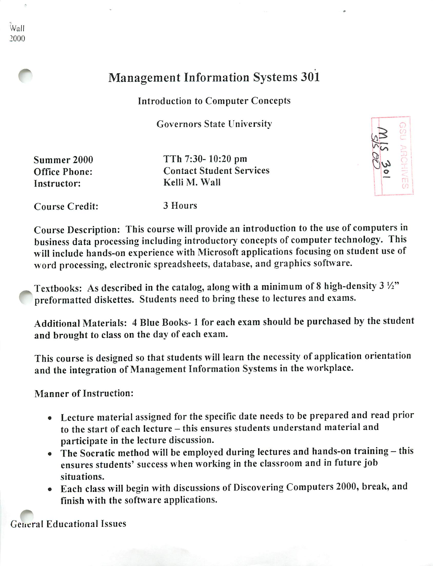## Wall 2000

## Management Information Systems 301

## Introduction to Computer Concepts

Governors State University

Instructor: Kelli M. Wall

Summer 2000 TTh 7:30-10:20 pm Office Phone: Contact Student Services



Course Credit: 3 Hours

Course Description: This course will provide an introduction to the use of computers in business data processing including introductory concepts of computer technology. This will include hands-on experience with Microsoft applications focusing on student use of word processing, electronic spreadsheets, database, and graphics software.

Textbooks: As described in the catalog, along with a minimum of 8 high-density  $3\frac{1}{2}$ " preformatted diskettes. Students need to bring these to lectures and exams.

Additional Materials: 4 Blue Books-1 for each exam should be purchased by the student and brought to class on the day of each exam.

This course is designed so that students will learn the necessity of application orientation and the integration of Management Information Systems in the workplace.

Manner of Instruction:

- Lecture material assigned for the specific date needs to be prepared and read prior to the start of each lecture - this ensures students understand material and participate in the lecture discussion.
- The Socratic method will be employed during lectures and hands-on training this ensures students' success when working in the classroom and in future job situations.
- Each class will begin with discussions of Discovering Computers 2000, break, and finish with the software applications.

General Educational Issues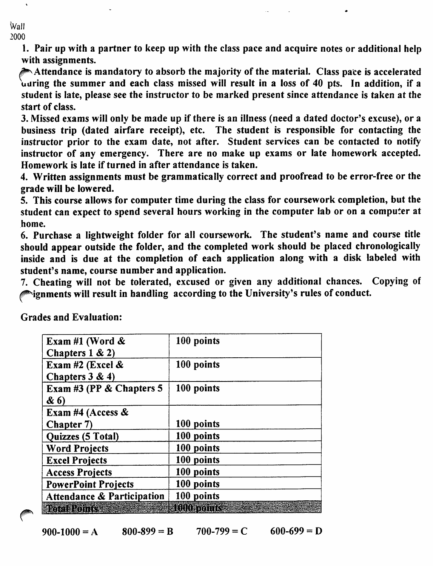*Wall 2000*

> *1. Pair up with a partner to keep up with the class pace and acquire notes or additional help with assignments.*

> */^Attendance is mandatory to absorb the majority of the material. Class pace is accelerated uuring the summer and each class missed will result in a loss of 40 pts. In addition, if a student is late, please see the instructor to be marked present since attendance is taken at the start of class.*

> *3. Missed exams will only be made up if there is an illness (need a dated doctor's excuse), or a business trip (dated airfare receipt), etc. The student is responsible for contacting the instructor prior to the exam date, not after. Student services can be contacted to notify instructor of any emergency. There are no make up exams or late homework accepted. Homework is late if turned in after attendance is taken.*

> *4. Written assignments must be grammatically correct and proofread to be error-free or the grade will be lowered.*

> *5. This course allows for computer time during the class for coursework completion, but the student can expect to spend several hours working in the computer lab or on a computer at home.*

> *6. Purchase a lightweight folder for all coursework. The student's name and course title should appear outside the folder, and the completed work should be placed chronologically inside and is due at the completion of each application along with a disk labeled with student's name, course number and application.*

> *7. Cheating will not be tolerated, excused or given any additional chances. Copying of ignments will result in handling according to the University's rules of conduct.*

| Exam #1 (Word $\&$                    | 100 points       |
|---------------------------------------|------------------|
| Chapters $1 & 2$                      |                  |
| Exam #2 (Excel $\&$                   | 100 points       |
| Chapters $3 & 4$                      |                  |
| Exam #3 (PP $&$ Chapters 5            | 100 points       |
| & 6)                                  |                  |
| Exam #4 (Access &                     |                  |
| Chapter 7)                            | 100 points       |
| Quizzes (5 Total)                     | 100 points       |
| <b>Word Projects</b>                  | 100 points       |
| <b>Excel Projects</b>                 | 100 points       |
| <b>Access Projects</b>                | 100 points       |
| <b>PowerPoint Projects</b>            | 100 points       |
| <b>Attendance &amp; Participation</b> | 100 points       |
| na matemat                            | <b>1000 roms</b> |

*Grades and Evaluation:*

*jf^\*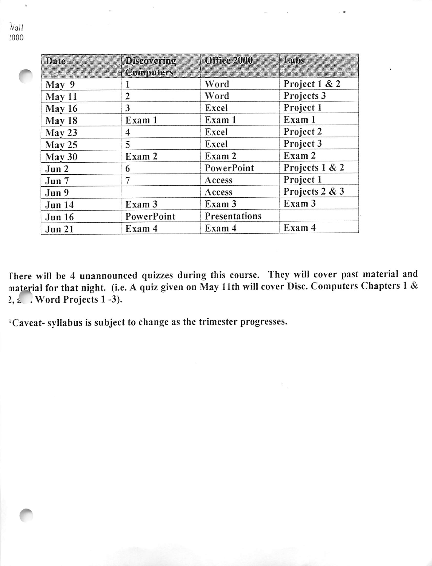| Date             | Discovering<br>Computers | <b>CHITGG 2000</b> | Habs           |
|------------------|--------------------------|--------------------|----------------|
| May <sub>9</sub> |                          | Word               | Project 1 & 2  |
| May 11           | 2                        | Word               | Projects 3     |
| May 16           | 3                        | Excel              | Project 1      |
| May 18           | Exam 1                   | Exam 1             | Exam 1         |
| May 23           | 4                        | Excel              | Project 2      |
| May 25           | 5                        | Excel              | Project 3      |
| May 30           | Exam 2                   | Exam 2             | Exam 2         |
| Jun 2            | 6                        | PowerPoint         | Projects 1 & 2 |
| Jun 7            | 7                        | Access             | Project 1      |
| Jun 9            |                          | Access             | Projects 2 & 3 |
| <b>Jun 14</b>    | Exam 3                   | Exam 3             | Exam 3         |
| <b>Jun 16</b>    | PowerPoint               | Presentations      |                |
| <b>Jun 21</b>    | Exam 4                   | Exam 4             | Exam 4         |

There will be 4 unannounced quizzes during this course. They will cover past material and material for that night, (i.e. A quiz given on May 11th will cover Disc. Computers Chapters 1& 2, a Word Projects 1 -3).

\*Caveat- syllabus is subject to change as the trimester progresses.

 $\bar{v}$ all :ooo